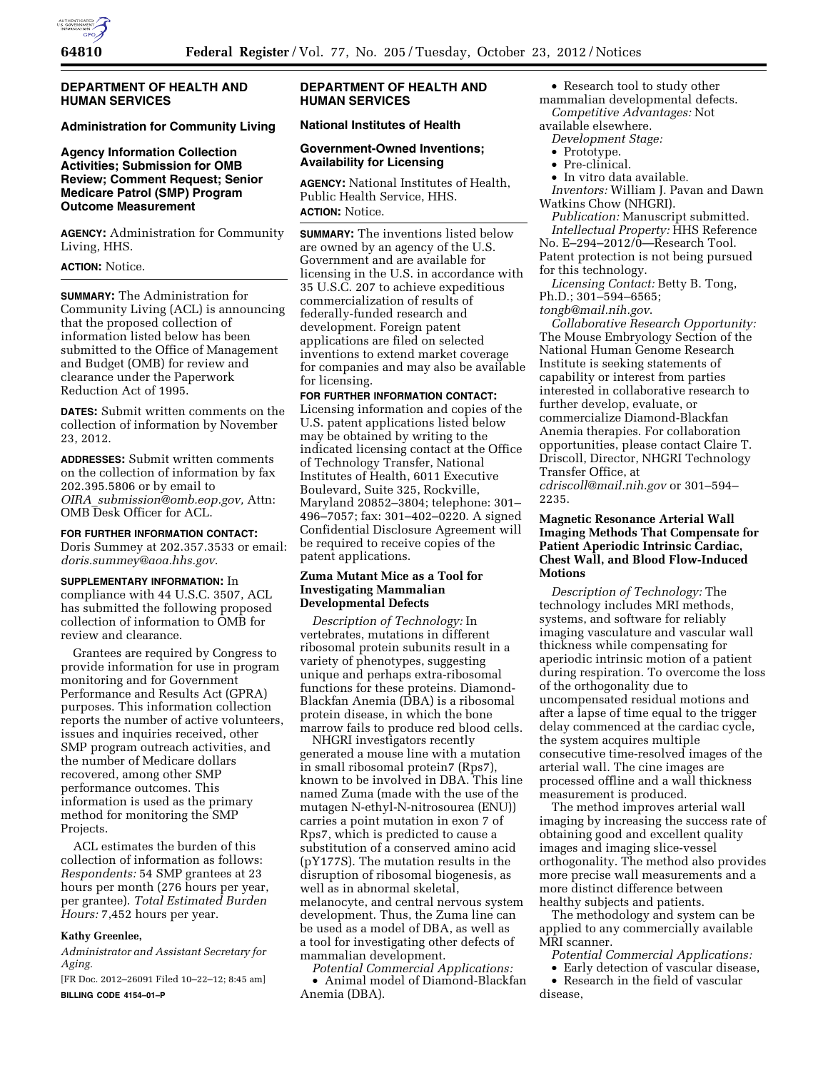

# **DEPARTMENT OF HEALTH AND HUMAN SERVICES**

#### **Administration for Community Living**

# **Agency Information Collection Activities; Submission for OMB Review; Comment Request; Senior Medicare Patrol (SMP) Program Outcome Measurement**

**AGENCY:** Administration for Community Living, HHS.

# **ACTION:** Notice.

**SUMMARY:** The Administration for Community Living (ACL) is announcing that the proposed collection of information listed below has been submitted to the Office of Management and Budget (OMB) for review and clearance under the Paperwork Reduction Act of 1995.

**DATES:** Submit written comments on the collection of information by November 23, 2012.

**ADDRESSES:** Submit written comments on the collection of information by fax 202.395.5806 or by email to *OIRA*\_*[submission@omb.eop.gov,](mailto:OIRA_submission@omb.eop.gov)* Attn: OMB Desk Officer for ACL.

#### **FOR FURTHER INFORMATION CONTACT:**

Doris Summey at 202.357.3533 or email: *[doris.summey@aoa.hhs.gov](mailto:doris.summey@aoa.hhs.gov)*.

#### **SUPPLEMENTARY INFORMATION:** In

compliance with 44 U.S.C. 3507, ACL has submitted the following proposed collection of information to OMB for review and clearance.

Grantees are required by Congress to provide information for use in program monitoring and for Government Performance and Results Act (GPRA) purposes. This information collection reports the number of active volunteers, issues and inquiries received, other SMP program outreach activities, and the number of Medicare dollars recovered, among other SMP performance outcomes. This information is used as the primary method for monitoring the SMP Projects.

ACL estimates the burden of this collection of information as follows: *Respondents:* 54 SMP grantees at 23 hours per month (276 hours per year, per grantee). *Total Estimated Burden Hours:* 7,452 hours per year.

#### **Kathy Greenlee,**

*Administrator and Assistant Secretary for Aging.* 

[FR Doc. 2012–26091 Filed 10–22–12; 8:45 am] **BILLING CODE 4154–01–P** 

# **DEPARTMENT OF HEALTH AND HUMAN SERVICES**

#### **National Institutes of Health**

# **Government-Owned Inventions; Availability for Licensing**

**AGENCY:** National Institutes of Health, Public Health Service, HHS. **ACTION:** Notice.

**SUMMARY:** The inventions listed below are owned by an agency of the U.S. Government and are available for licensing in the U.S. in accordance with 35 U.S.C. 207 to achieve expeditious commercialization of results of federally-funded research and development. Foreign patent applications are filed on selected inventions to extend market coverage for companies and may also be available for licensing.

# **FOR FURTHER INFORMATION CONTACT:**  Licensing information and copies of the U.S. patent applications listed below may be obtained by writing to the indicated licensing contact at the Office of Technology Transfer, National Institutes of Health, 6011 Executive Boulevard, Suite 325, Rockville, Maryland 20852–3804; telephone: 301– 496–7057; fax: 301–402–0220. A signed Confidential Disclosure Agreement will be required to receive copies of the patent applications.

#### **Zuma Mutant Mice as a Tool for Investigating Mammalian Developmental Defects**

*Description of Technology:* In vertebrates, mutations in different ribosomal protein subunits result in a variety of phenotypes, suggesting unique and perhaps extra-ribosomal functions for these proteins. Diamond-Blackfan Anemia (DBA) is a ribosomal protein disease, in which the bone marrow fails to produce red blood cells.

NHGRI investigators recently generated a mouse line with a mutation in small ribosomal protein7 (Rps7), known to be involved in DBA. This line named Zuma (made with the use of the mutagen N-ethyl-N-nitrosourea (ENU)) carries a point mutation in exon 7 of Rps7, which is predicted to cause a substitution of a conserved amino acid (pY177S). The mutation results in the disruption of ribosomal biogenesis, as well as in abnormal skeletal, melanocyte, and central nervous system development. Thus, the Zuma line can be used as a model of DBA, as well as a tool for investigating other defects of mammalian development.

*Potential Commercial Applications:*  • Animal model of Diamond-Blackfan Anemia (DBA).

• Research tool to study other mammalian developmental defects. *Competitive Advantages:* Not

- available elsewhere. *Development Stage:* 
	-
	- Prototype. • Pre-clinical.
	- In vitro data available.

*Inventors:* William J. Pavan and Dawn Watkins Chow (NHGRI).

*Publication:* Manuscript submitted. *Intellectual Property:* HHS Reference No. E–294–2012/0—Research Tool.

Patent protection is not being pursued for this technology. *Licensing Contact:* Betty B. Tong,

Ph.D.; 301–594–6565;

*[tongb@mail.nih.gov](mailto:tongb@mail.nih.gov)*.

*Collaborative Research Opportunity:*  The Mouse Embryology Section of the National Human Genome Research Institute is seeking statements of capability or interest from parties interested in collaborative research to further develop, evaluate, or commercialize Diamond-Blackfan Anemia therapies. For collaboration opportunities, please contact Claire T. Driscoll, Director, NHGRI Technology Transfer Office, at *[cdriscoll@mail.nih.gov](mailto:cdriscoll@mail.nih.gov)* or 301–594– 2235.

# **Magnetic Resonance Arterial Wall Imaging Methods That Compensate for Patient Aperiodic Intrinsic Cardiac, Chest Wall, and Blood Flow-Induced Motions**

*Description of Technology:* The technology includes MRI methods, systems, and software for reliably imaging vasculature and vascular wall thickness while compensating for aperiodic intrinsic motion of a patient during respiration. To overcome the loss of the orthogonality due to uncompensated residual motions and after a lapse of time equal to the trigger delay commenced at the cardiac cycle, the system acquires multiple consecutive time-resolved images of the arterial wall. The cine images are processed offline and a wall thickness measurement is produced.

The method improves arterial wall imaging by increasing the success rate of obtaining good and excellent quality images and imaging slice-vessel orthogonality. The method also provides more precise wall measurements and a more distinct difference between healthy subjects and patients.

The methodology and system can be applied to any commercially available MRI scanner.

- *Potential Commercial Applications:*
- Early detection of vascular disease, • Research in the field of vascular
- disease,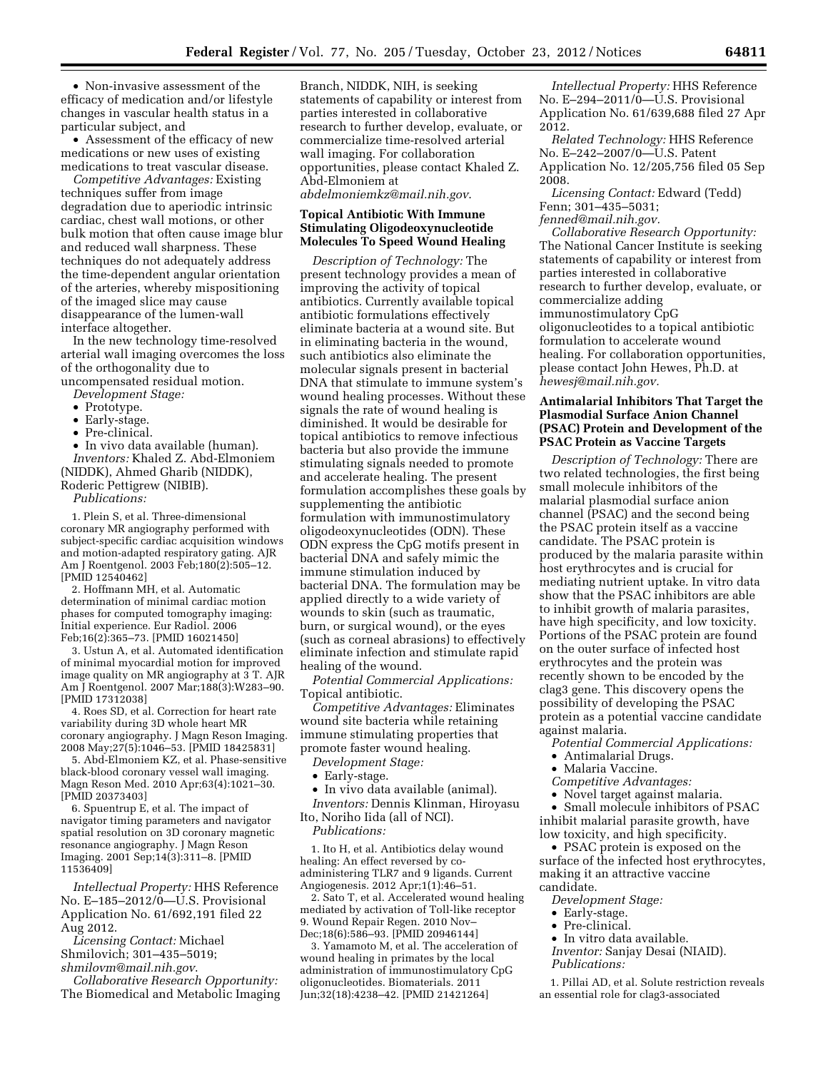• Non-invasive assessment of the efficacy of medication and/or lifestyle changes in vascular health status in a particular subject, and

• Assessment of the efficacy of new medications or new uses of existing medications to treat vascular disease.

*Competitive Advantages:* Existing techniques suffer from image degradation due to aperiodic intrinsic cardiac, chest wall motions, or other bulk motion that often cause image blur and reduced wall sharpness. These techniques do not adequately address the time-dependent angular orientation of the arteries, whereby mispositioning of the imaged slice may cause disappearance of the lumen-wall interface altogether.

In the new technology time-resolved arterial wall imaging overcomes the loss of the orthogonality due to

uncompensated residual motion.

- *Development Stage:*
- Prototype.
- Early-stage.
- Pre-clinical.

• In vivo data available (human). *Inventors:* Khaled Z. Abd-Elmoniem (NIDDK), Ahmed Gharib (NIDDK), Roderic Pettigrew (NIBIB).

*Publications:* 

1. Plein S, et al. Three-dimensional coronary MR angiography performed with subject-specific cardiac acquisition windows and motion-adapted respiratory gating. AJR Am J Roentgenol. 2003 Feb;180(2):505–12. [PMID 12540462]

2. Hoffmann MH, et al. Automatic determination of minimal cardiac motion phases for computed tomography imaging: Initial experience. Eur Radiol. 2006 Feb;16(2):365–73. [PMID 16021450]

3. Ustun A, et al. Automated identification of minimal myocardial motion for improved image quality on MR angiography at 3 T. AJR Am J Roentgenol. 2007 Mar;188(3):W283–90. [PMID 17312038]

4. Roes SD, et al. Correction for heart rate variability during 3D whole heart MR coronary angiography. J Magn Reson Imaging. 2008 May;27(5):1046–53. [PMID 18425831]

5. Abd-Elmoniem KZ, et al. Phase-sensitive black-blood coronary vessel wall imaging. Magn Reson Med. 2010 Apr;63(4):1021–30. [PMID 20373403]

6. Spuentrup E, et al. The impact of navigator timing parameters and navigator spatial resolution on 3D coronary magnetic resonance angiography. J Magn Reson Imaging. 2001 Sep;14(3):311–8. [PMID 11536409]

*Intellectual Property:* HHS Reference No. E–185–2012/0—U.S. Provisional Application No. 61/692,191 filed 22 Aug 2012.

*Licensing Contact:* Michael Shmilovich; 301–435–5019; *[shmilovm@mail.nih.gov](mailto:shmilovm@mail.nih.gov)*.

*Collaborative Research Opportunity:*  The Biomedical and Metabolic Imaging Branch, NIDDK, NIH, is seeking statements of capability or interest from parties interested in collaborative research to further develop, evaluate, or commercialize time-resolved arterial wall imaging. For collaboration opportunities, please contact Khaled Z. Abd-Elmoniem at *[abdelmoniemkz@mail.nih.gov](mailto:abdelmoniemkz@mail.nih.gov)*.

# **Topical Antibiotic With Immune**

# **Stimulating Oligodeoxynucleotide Molecules To Speed Wound Healing**

*Description of Technology:* The present technology provides a mean of improving the activity of topical antibiotics. Currently available topical antibiotic formulations effectively eliminate bacteria at a wound site. But in eliminating bacteria in the wound, such antibiotics also eliminate the molecular signals present in bacterial DNA that stimulate to immune system's wound healing processes. Without these signals the rate of wound healing is diminished. It would be desirable for topical antibiotics to remove infectious bacteria but also provide the immune stimulating signals needed to promote and accelerate healing. The present formulation accomplishes these goals by supplementing the antibiotic formulation with immunostimulatory oligodeoxynucleotides (ODN). These ODN express the CpG motifs present in bacterial DNA and safely mimic the immune stimulation induced by bacterial DNA. The formulation may be applied directly to a wide variety of wounds to skin (such as traumatic, burn, or surgical wound), or the eyes (such as corneal abrasions) to effectively eliminate infection and stimulate rapid healing of the wound.

*Potential Commercial Applications:*  Topical antibiotic.

*Competitive Advantages:* Eliminates wound site bacteria while retaining immune stimulating properties that promote faster wound healing.

*Development Stage:* 

- Early-stage.
- In vivo data available (animal).

*Inventors:* Dennis Klinman, Hiroyasu Ito, Noriho Iida (all of NCI). *Publications:* 

1. Ito H, et al. Antibiotics delay wound healing: An effect reversed by coadministering TLR7 and 9 ligands. Current Angiogenesis. 2012 Apr;1(1):46–51.

2. Sato T, et al. Accelerated wound healing mediated by activation of Toll-like receptor 9. Wound Repair Regen. 2010 Nov– Dec;18(6):586–93. [PMID 20946144]

3. Yamamoto M, et al. The acceleration of wound healing in primates by the local administration of immunostimulatory CpG oligonucleotides. Biomaterials. 2011 Jun;32(18):4238–42. [PMID 21421264]

*Intellectual Property:* HHS Reference No. E–294–2011/0—U.S. Provisional Application No. 61/639,688 filed 27 Apr 2012.

*Related Technology:* HHS Reference No. E–242–2007/0—U.S. Patent Application No. 12/205,756 filed 05 Sep 2008.

*Licensing Contact:* Edward (Tedd) Fenn; 301–435–5031;

*[fenned@mail.nih.gov.](mailto:fenned@mail.nih.gov)* 

*Collaborative Research Opportunity:*  The National Cancer Institute is seeking statements of capability or interest from parties interested in collaborative research to further develop, evaluate, or commercialize adding immunostimulatory CpG oligonucleotides to a topical antibiotic formulation to accelerate wound healing. For collaboration opportunities, please contact John Hewes, Ph.D. at *[hewesj@mail.nih.gov.](mailto:hewesj@mail.nih.gov)* 

# **Antimalarial Inhibitors That Target the Plasmodial Surface Anion Channel (PSAC) Protein and Development of the PSAC Protein as Vaccine Targets**

*Description of Technology:* There are two related technologies, the first being small molecule inhibitors of the malarial plasmodial surface anion channel (PSAC) and the second being the PSAC protein itself as a vaccine candidate. The PSAC protein is produced by the malaria parasite within host erythrocytes and is crucial for mediating nutrient uptake. In vitro data show that the PSAC inhibitors are able to inhibit growth of malaria parasites, have high specificity, and low toxicity. Portions of the PSAC protein are found on the outer surface of infected host erythrocytes and the protein was recently shown to be encoded by the clag3 gene. This discovery opens the possibility of developing the PSAC protein as a potential vaccine candidate against malaria.

*Potential Commercial Applications:* 

- Antimalarial Drugs.
- Malaria Vaccine.
- *Competitive Advantages:*

• Novel target against malaria.

• Small molecule inhibitors of PSAC inhibit malarial parasite growth, have low toxicity, and high specificity.

• PSAC protein is exposed on the surface of the infected host erythrocytes, making it an attractive vaccine candidate.

*Development Stage:* 

- Early-stage.
- Pre-clinical.
- In vitro data available.

*Inventor:* Sanjay Desai (NIAID). *Publications:* 

1. Pillai AD, et al. Solute restriction reveals an essential role for clag3-associated